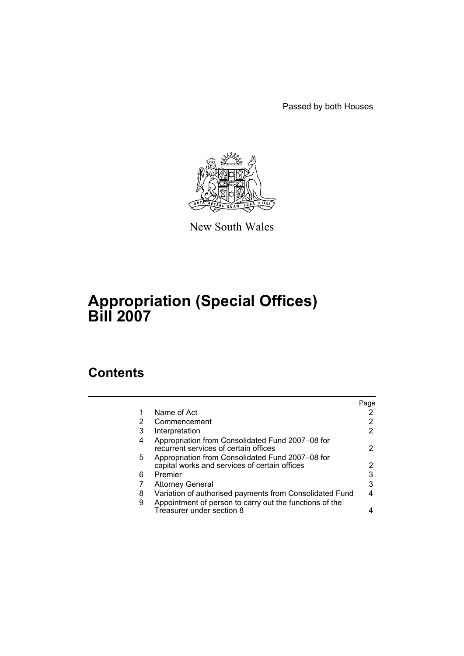Passed by both Houses



New South Wales

# **Appropriation (Special Offices) Bill 2007**

## **Contents**

|   |                                                                                                   | Page |
|---|---------------------------------------------------------------------------------------------------|------|
|   | Name of Act                                                                                       |      |
| 2 | Commencement                                                                                      | 2    |
| 3 | Interpretation                                                                                    | 2    |
| 4 | Appropriation from Consolidated Fund 2007-08 for<br>recurrent services of certain offices         | 2    |
| 5 | Appropriation from Consolidated Fund 2007-08 for<br>capital works and services of certain offices | 2    |
| 6 | Premier                                                                                           | 3    |
|   | <b>Attorney General</b>                                                                           | 3    |
| 8 | Variation of authorised payments from Consolidated Fund                                           | 4    |
| 9 | Appointment of person to carry out the functions of the<br>Treasurer under section 8              |      |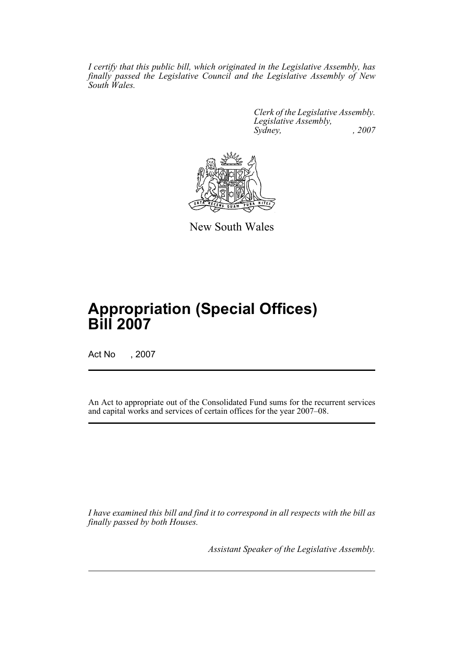*I certify that this public bill, which originated in the Legislative Assembly, has finally passed the Legislative Council and the Legislative Assembly of New South Wales.*

> *Clerk of the Legislative Assembly. Legislative Assembly, Sydney, , 2007*



New South Wales

## **Appropriation (Special Offices) Bill 2007**

Act No , 2007

An Act to appropriate out of the Consolidated Fund sums for the recurrent services and capital works and services of certain offices for the year 2007–08.

*I have examined this bill and find it to correspond in all respects with the bill as finally passed by both Houses.*

*Assistant Speaker of the Legislative Assembly.*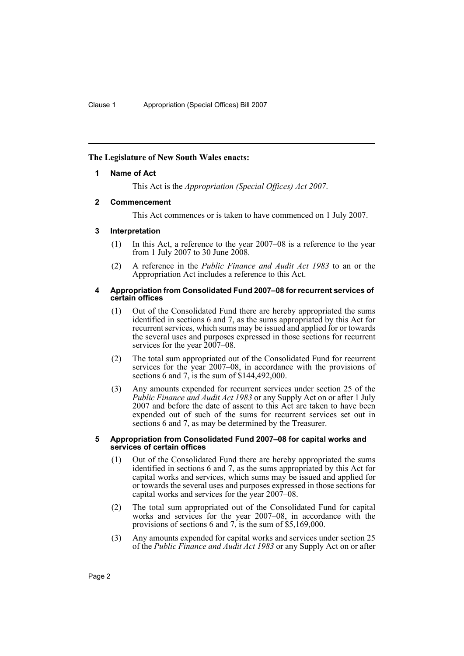## <span id="page-2-0"></span>**The Legislature of New South Wales enacts:**

## **1 Name of Act**

This Act is the *Appropriation (Special Offices) Act 2007*.

## <span id="page-2-1"></span>**2 Commencement**

This Act commences or is taken to have commenced on 1 July 2007.

## <span id="page-2-2"></span>**3 Interpretation**

- (1) In this Act, a reference to the year 2007–08 is a reference to the year from 1 July 2007 to 30 June 2008.
- (2) A reference in the *Public Finance and Audit Act 1983* to an or the Appropriation Act includes a reference to this Act.

#### <span id="page-2-3"></span>**4 Appropriation from Consolidated Fund 2007–08 for recurrent services of certain offices**

- (1) Out of the Consolidated Fund there are hereby appropriated the sums identified in sections 6 and 7, as the sums appropriated by this Act for recurrent services, which sums may be issued and applied for or towards the several uses and purposes expressed in those sections for recurrent services for the year 2007–08.
- (2) The total sum appropriated out of the Consolidated Fund for recurrent services for the year 2007–08, in accordance with the provisions of sections 6 and 7, is the sum of \$144,492,000.
- (3) Any amounts expended for recurrent services under section 25 of the *Public Finance and Audit Act 1983* or any Supply Act on or after 1 July 2007 and before the date of assent to this Act are taken to have been expended out of such of the sums for recurrent services set out in sections 6 and 7, as may be determined by the Treasurer.

#### <span id="page-2-4"></span>**5 Appropriation from Consolidated Fund 2007–08 for capital works and services of certain offices**

- (1) Out of the Consolidated Fund there are hereby appropriated the sums identified in sections 6 and 7, as the sums appropriated by this Act for capital works and services, which sums may be issued and applied for or towards the several uses and purposes expressed in those sections for capital works and services for the year 2007–08.
- (2) The total sum appropriated out of the Consolidated Fund for capital works and services for the year 2007–08, in accordance with the provisions of sections 6 and 7, is the sum of \$5,169,000.
- (3) Any amounts expended for capital works and services under section 25 of the *Public Finance and Audit Act 1983* or any Supply Act on or after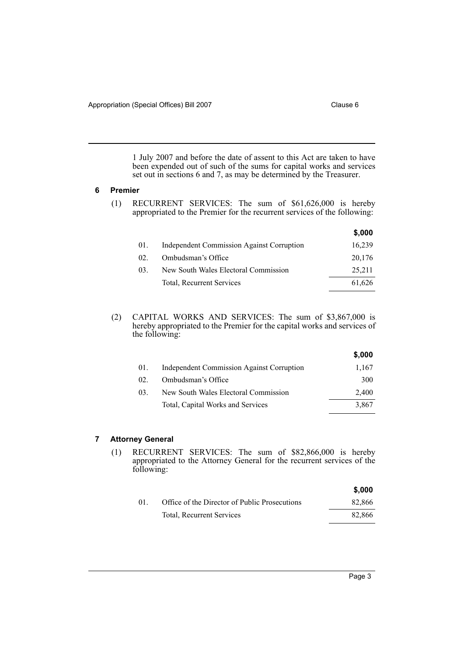1 July 2007 and before the date of assent to this Act are taken to have been expended out of such of the sums for capital works and services set out in sections 6 and 7, as may be determined by the Treasurer.

#### <span id="page-3-0"></span>**6 Premier**

(1) RECURRENT SERVICES: The sum of \$61,626,000 is hereby appropriated to the Premier for the recurrent services of the following:

|     |                                                  | \$,000 |
|-----|--------------------------------------------------|--------|
| 01. | <b>Independent Commission Against Corruption</b> | 16,239 |
| 02. | Ombudsman's Office                               | 20,176 |
| 03. | New South Wales Electoral Commission             | 25,211 |
|     | Total, Recurrent Services                        | 61,626 |
|     |                                                  |        |

(2) CAPITAL WORKS AND SERVICES: The sum of \$3,867,000 is hereby appropriated to the Premier for the capital works and services of the following:

|     |                                                  | \$,000 |
|-----|--------------------------------------------------|--------|
| 01. | <b>Independent Commission Against Corruption</b> | 1,167  |
| 02  | Ombudsman's Office                               | 300    |
| 03. | New South Wales Electoral Commission             | 2,400  |
|     | Total, Capital Works and Services                | 3,867  |

## <span id="page-3-1"></span>**7 Attorney General**

(1) RECURRENT SERVICES: The sum of \$82,866,000 is hereby appropriated to the Attorney General for the recurrent services of the following:

|    |                                               | \$.000 |
|----|-----------------------------------------------|--------|
| 01 | Office of the Director of Public Prosecutions | 82,866 |
|    | <b>Total, Recurrent Services</b>              | 82,866 |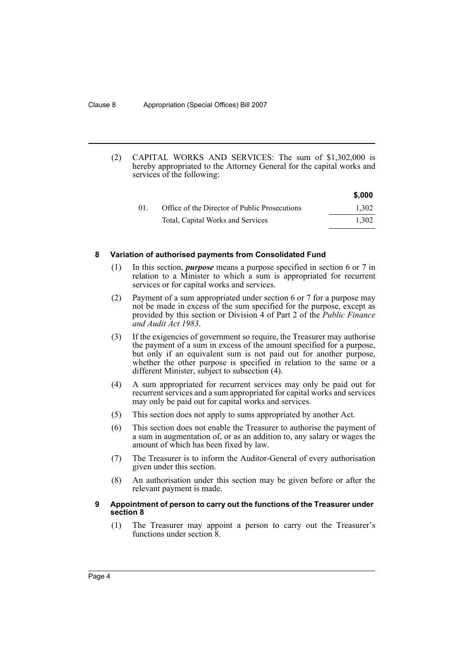(2) CAPITAL WORKS AND SERVICES: The sum of \$1,302,000 is hereby appropriated to the Attorney General for the capital works and services of the following:

|     |                                               | \$,000 |
|-----|-----------------------------------------------|--------|
| -01 | Office of the Director of Public Prosecutions | 1.302  |
|     | Total, Capital Works and Services             | 1.302  |

#### <span id="page-4-0"></span>**8 Variation of authorised payments from Consolidated Fund**

- (1) In this section, *purpose* means a purpose specified in section 6 or 7 in relation to a Minister to which a sum is appropriated for recurrent services or for capital works and services.
- (2) Payment of a sum appropriated under section 6 or 7 for a purpose may not be made in excess of the sum specified for the purpose, except as provided by this section or Division 4 of Part 2 of the *Public Finance and Audit Act 1983*.
- (3) If the exigencies of government so require, the Treasurer may authorise the payment of a sum in excess of the amount specified for a purpose, but only if an equivalent sum is not paid out for another purpose, whether the other purpose is specified in relation to the same or a different Minister, subject to subsection (4).
- (4) A sum appropriated for recurrent services may only be paid out for recurrent services and a sum appropriated for capital works and services may only be paid out for capital works and services.
- (5) This section does not apply to sums appropriated by another Act.
- (6) This section does not enable the Treasurer to authorise the payment of a sum in augmentation of, or as an addition to, any salary or wages the amount of which has been fixed by law.
- (7) The Treasurer is to inform the Auditor-General of every authorisation given under this section.
- (8) An authorisation under this section may be given before or after the relevant payment is made.

## <span id="page-4-1"></span>**9 Appointment of person to carry out the functions of the Treasurer under section 8**

(1) The Treasurer may appoint a person to carry out the Treasurer's functions under section 8.